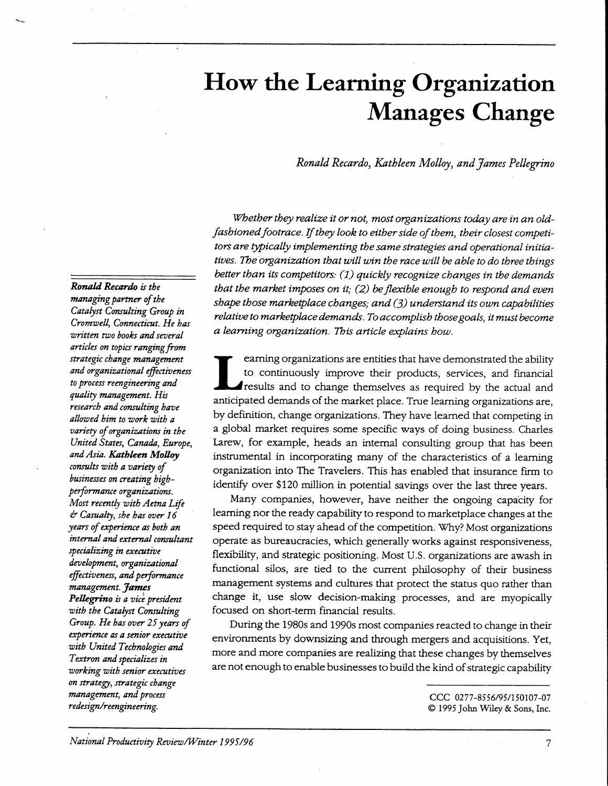## How the Learning Organization **Manages Change**

Ronald Recardo, Kathleen Molloy, and James Pellegrino

Whether they realize it or not, most organizations today are in an oldfashioned footrace. If they look to either side of them, their closest competitors are typically implementing the same strategies and operational initiatives. The organization that will win the race will be able to do three things better than its competitors: (1) quickly recognize changes in the demands that the market imposes on it;  $(2)$  be flexible enough to respond and even shape those marketplace changes; and  $(3)$  understand its own capabilities relative to marketplace demands. To accomplish those goals, it must become a learning organization. This article explains how.

earning organizations are entities that have demonstrated the ability to continuously improve their products, services, and financial results and to change themselves as required by the actual and anticipated demands of the market place. True learning organizations are, by definition, change organizations. They have learned that competing in a global market requires some specific ways of doing business. Charles Larew, for example, heads an internal consulting group that has been instrumental in incorporating many of the characteristics of a learning organization into The Travelers. This has enabled that insurance firm to identify over \$120 million in potential savings over the last three years.

Many companies, however, have neither the ongoing capacity for learning nor the ready capability to respond to marketplace changes at the speed required to stay ahead of the competition. Why? Most organizations operate as bureaucracies, which generally works against responsiveness, flexibility, and strategic positioning. Most U.S. organizations are awash in functional silos, are tied to the current philosophy of their business management systems and cultures that protect the status quo rather than change it, use slow decision-making processes, and are myopically focused on short-term financial results.

During the 1980s and 1990s most companies reacted to change in their environments by downsizing and through mergers and acquisitions. Yet, more and more companies are realizing that these changes by themselves are not enough to enable businesses to build the kind of strategic capability

Ronald Recardo is the managing partner of the Catalyst Consulting Group in Cromwell, Connecticut. He has written two books and several articles on topics ranging from strategic change management and organizational effectiveness to process reengineering and quality management. His research and consulting have allowed him to work with a variety of organizations in the United States, Canada, Europe, and Asia. Kathleen Molloy consults with a variety of businesses on creating highperformance organizations. Most recently with Aetna Life  $\sigma$  Casualty, she has over 16 years of experience as both an internal and external consultant specializing in executive development, organizational effectiveness, and performance management. James Pellegrino is a vice president with the Catalyst Consulting Group. He has over 25 years of experience as a senior executive with United Technologies and Textron and specializes in working with senior executives on strategy, strategic change management, and process redesign/reengineering.

CCC 0277-8556/95/150107-07 © 1995 John Wiley & Sons, Inc.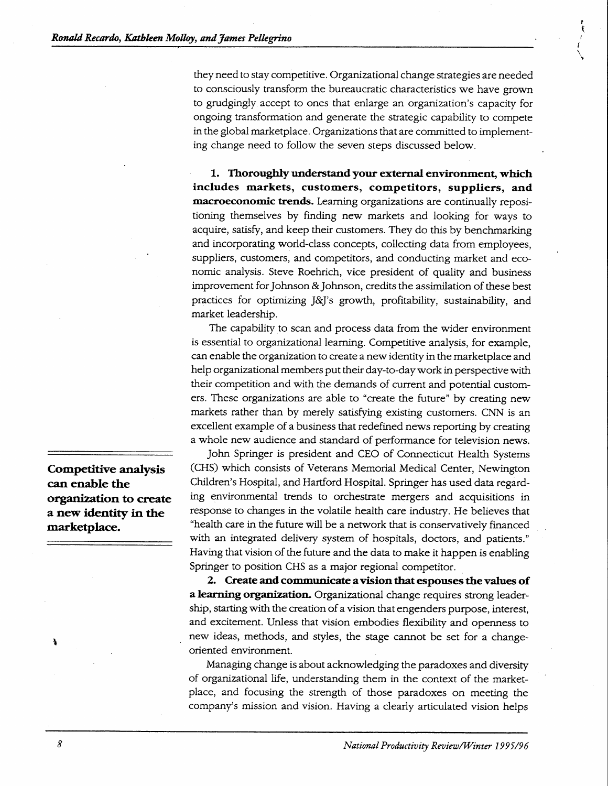they need to stay competitive. Organizational change strategies are needed to consciously transform the bureaucratic characteristics we have grown to grudgingly accept to ones that enlarge an organization's capaciry for ongoing transformation and generate the strategic capabiliry to compete in the global marketplace. Organizations that are committed to implementing change need to follow the seven steps discussed below.

t t

\

1. Thoroughly understand your external environment, which includes markets, customers, competitors, suppliers, and macroeconomic trends. Learning organizations are continually repositioning themselves by finding new markets and looking for ways to acquire, satisfy, and keep their customers. They do this by benchmarking and incorporating world-class concepts, collecting data from employees, suppliers, customers, and competitors, and conducting market and economic analysis. Steve Roehrich, vice president of qualiry and business improvement for Johnson & Johnson, credits the assimilation of these best practices for optimizing J&J's growth, profitability, sustainability, and market leadership.

The capability to scan and process data from the wider environment is essential to organizational leaming. Competitive analysis, for example, can enable the organization to create a new identity in the marketplace and help organizational members put their day-to-daywork in perspective with their competition and with the demands of current and potential customers. These organizations are able to "create the future" by creating new markets rather than by merely satisfying existing customers. CNN is an excellent example of a business that redetined news reporting by creating a whole new audience and standard of performance for television news.

John Springer is president and CEO of Connecticut Health Systems (CHS) which consists of Veterans Memorial Medical Center, Newington Children's Hospital, and Hanford Hospital. Springer has used data regarding environmental trends to orchestrate mergers and acquisitions in response to changes in the volatile health care industry. He believes that "health care in the future will be a network that is conservatively financed with an integrated delivery system of hospitals, doctors, and patients." Having that vision of the future and the datz to make it happen is enabling Springer to position CHS as a maior regional competitor.

2. Create and communicate a vision that espouses the values of a learning organization. Organizational change requires strong leadership, starting with the creation of a vision that engenders purpose, interest, and excitement. Unless that vision embodies flexibility and openness to new ideas, methods, and styles, the stage cannot be set for a changeoriented environment.

Managing change is about acknowledging the paradoxes and diversity of organizational life, understanding them in the context of the marketplace, and focusing the strength of those paradoxes on meeting the company's mission and vision. Having a clearly articulated vision helps

Competitive analysis can enable the organization to create a new identity in the marketplace.

ħ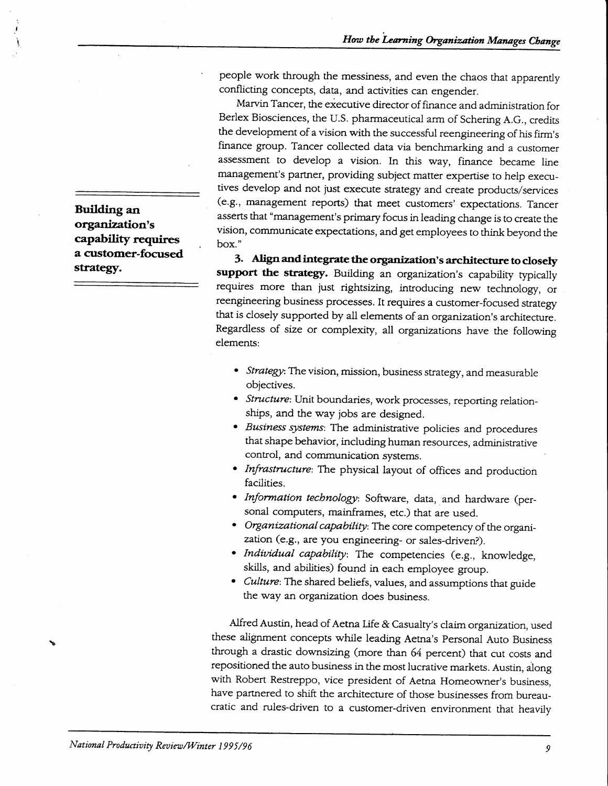people work through the messiness, and even the chaos that apparently conflicting concepts, data, and activities can engender.

Marvin Tancer, the executive director of finance and administration for Berlex Biosciences, the U.S. pharmaceutical arm of Schering A.G., credits the development of a vision with the successful reengineering of his firm's finance group. Tancer collected data via benchmarking and a customer assessment to develop a vision. In this way, finance became line management's partner, providing subject matter expertise to help executives develop and not just execute strategy and create products/services (e.g. , management reports) that meet customers' expectations. Tancer asserts that "management's primary focus in leading change is to create the vision, communicate expectations, and get employees to think beyond the box."

3. Align and integrate the organization's architecture to closely support the strategy. Building an organization's capability typically requires more than just rightsizing, introducing new technology, or reengineering business processes. It requires a customer-focused strategy that is closely supported by all elements of an organization's architecture. Regardless of size or complexity, all organizations have the following elements:

- Strategy: The vision, mission, business strategy, and measurable objectives.
- Structure: Unit boundaries, work processes, reporting relationships, and the w^y jobs are designed.
- ' Business systems: The administrative policies and procedures that shape behavior, including human resources, administrative control, and communication systems.
- Infrastructure: The physical layout of offices and production facilities.
- · Information technology: Software, data, and hardware (personal computers, mainframes, etc.) that are used.
- ' Organizational capability: The core competency of the organization (e.9., are you engineering- or sales-driven?).
- Individual capability: The competencies (e.g., knowledge, skills, and abilities) found in each employee group.
- Culture: The shared beliefs, values, and assumptions that guide the way an organization does business.

Alfred Austin, head of Aetna Life & Casualty's claim organization, used these alignment concepts while leading Aetna's Personal Auto Business through a drastic downsizing (more than 64 percent) that cut costs and repositioned the auto business in the most lucrative markets. Austin, along with Robert Restreppo, vice president of Aetna Homeowner's business, have partnered to shift the architecture of those businesses from bureaucratic and rules-driven to a customer-driven environment that heavily

Building an organization's capability requires a customer-focused strategy.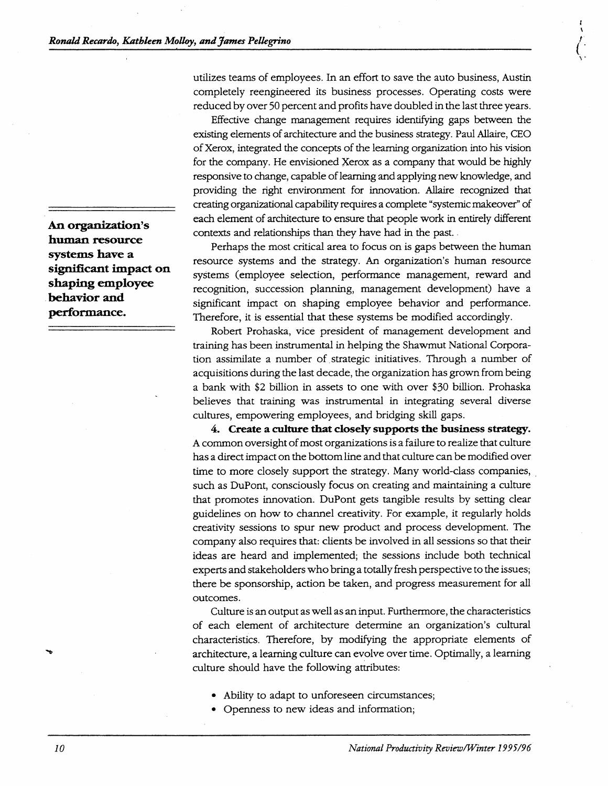utilizes teams of empioyees. In an effort to save the auto business, Austin completely reengineered its business processes. Operating costs were reduced by over 50 percent and profits have doubled in the last three years.

**In the contract of the contract of the contract of the contract of the contract of the contract of the contract of the contract of the contract of the contract of the contract of the contract of the contract of the contra**  $\ddot{\phantom{1}}$ t  $\left(\begin{smallmatrix} \cdot & \cdot \end{smallmatrix}\right)$ 

Effective change management requires identifying gaps between the existing elements of architecture and the business strategy. Paul Allaire, CEO of Xerox, integrated the concepts of the leaming organization into his vision for the company. He envisioned Xerox as a company that would be highly responsive to change, capable of leaming and applying new knowledge, and providing the right environment for innovation. Allaire recognized that creating orgarizational capabitity requires a complete "systemic makeover" of each element of architecture to ensure that people work in entirely different contexts and relationships than they have had in the past. .

Perhaps the most critical area to focus on is gaps between the human resource systems and the strategy. An organization's human resource systems (employee selection, performance management, reward and recognition, succession planning, management development) have a significant impact on shaping employee behavior and performance. Therefore, it is essential that these systems be modified accordingly.

Robert Prohaska, vice president of management development and training has been instrumental in helping the Shawmut National Corporation assimilate a number of strategic initiatives. Through a number of acquisitions during the last decade, the orgarization has grown from being a bank with \$2 billion in assets to one with over \$30 billion. Prohaska believes that training was instrumental in integrating several diverse cultures, empowering employees, and bridging skill gaps.

4. Create a culture that closely supports the business strategy. A common oversight of most organizations is a failure to realize that culture has a direct impact on the bottom line and that culture can be modified over time to more closely support the strategy. Many world-class companies, such as DuPont, consciously focus on creating and maintaining a culture that promotes innovation. DuPont gets tangible results by setting clear guideiines on how to channel creativiry. For example, it regularly holds creativity sessions to spur new product and process development. The company also requires that: clients be involved in all sessions so that their ideas are heard and implemented; the sessions include both technical experts and stakeholders who bring a totally fresh perspective to the issues; there be sponsorship, action be taken, and progress measurement for all outcomes.

Culture is an output as well as an input. Furthermore, the characteristics of each element of architecture determine an organization's cultural characteristics. Therefore, by modifying the appropriate elements of architecture, a learning culture can evolve over time. Optimally, a learning culture should have the following attributes:

- Ability to adapt to unforeseen circumstances;
- . Openness to new ideas and information;

An organization's human resource systems have a significant impact on shaping employee behavior and performance.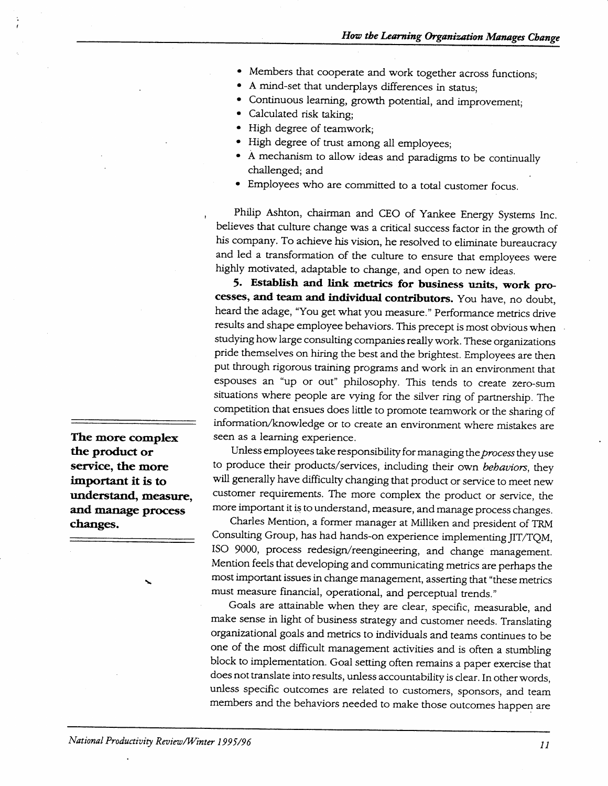- Members that cooperate and work together across functions; a
- A mind-set that underplays differences in status;
- Continuous learning, growth potential, and improvement
- Calculated risk taking;
- High degree of teamwork
- High degree of trust among all employees;
- A mechanism to allow ideas and paradigms to be continually challenged; and
- . Employees who are comrnitted to a total customer focus.

Philip Ashton, chairman and CEO of Yankee Energy Systems Inc. believes that culture change was a critical success factor in the growth of his company. To achieve his vision, he resolved to eliminate bureaucracy and led a transformation of the culrure to ensure that employees were highly motivated, adaptable to change, and open to new ideas.

5. Establish and link metrics for business uaits, work processes, and team and individual contributors. You have, no doubt, heard the adage, "You get what you measure." Performance metrics drive results and shape employee behaviors. This precept is most obvious when studying how large consulting companies realiy work. These orgarizations pride themseives on hiring the best and the brightest. Employees are then put through rigorous training programs and work in an environment that espouses an "up or out" philosophy. This tends to create zero-sum situations where people are vying for the silver ring of partnership. The competition that ensues does little to promote teamwork or the sharing of information/knowledge or to create an environment where mistakes are seen as a leaming experience.

Unless employees take responsibility for managing the process they use to produce their products/services, including their own behaviors, they will generally have difficulty changing that product or service to meet new customer requirements. The more complex the product or service, the more important it is to understand, measure, and manage process changes.

Charles Mention, a former manager at Milliken and president of TRM Consulting Group, has had hands-on experience implementing JIT/TQM, ISo 9000, process redesign/reengineering, and change management. Mention feels that developing and communicating metrics are perhaps the most important issues in change management, asserting that "these metrics must measure financial, operational, and perceptual trends."

Goals are attainable when they are clear, specific, measurable, and make sense in light of business strategy and customer needs. Translating orgarizational goals and metrics to individuals and teams continues to be one of the most difficult management activities and is often a stumbling block to implementation. Goal setting often remains a paper exercise that does not translate into results, unless accountability is clear. In other words, unless specific outcomes are related to customers, sponsors, and team members and the behaviors needed to make those outcomes happen are

The more complex the product or service, the more important it is to understand, measure, and manage process changes.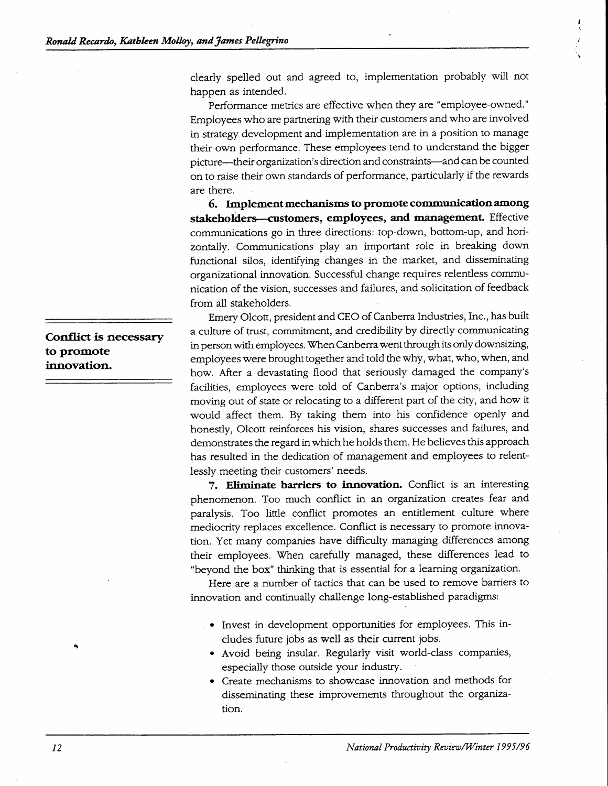clearly spelled out and agreed to, implementation probably will not happen as intended.

Performance metrics are effective when they are "employee-owned." Employees who are partnering with their customers and who are involved in strategy development and implementation are in a position to manage their own performance. These employees tend to understand the bigger picture—their organization's direction and constraints—and can be counted on to raise their own standards of performance, particularly if the rewards are there.

6. Implement mechanisms to promote communication among stakeholders-customers, employees, and management. Effective communications go in three directions: top-down, bottom-up, and horizontally. Communications play an important role in breaking down functional silos, identifying changes in the market, and disseminating organizational innovation. Successful change requires relentless communication of the vision, successes and failures, and solicitation of feedback from all stakeholders.

Emery Olcott, president and CEO of Canberra Industries, Inc., has built a culture of trust, commitment, and credibility by directly communicating in person with employees. When Canberra went through its only downsizing, employees were brought together and told the why, what, who, when, and how. After a devastating flood that seriously damaged the company's facilities, employees were told of Canberra's major options, including moving out of state or relocating to a different part of the city, and how it would affect them. By taking them into his confidence openly and honestly, Olcott reinforces his vision, shares successes and failures, and demonstrates the regard in which he holds them. He believes this approach has resulted in the dedication of management and employees to relentlessly meeting their customers' needs.

7. Eliminate barriers to innovation. Conflict is an interesting phenomenon. Too much conflict in an organization creates fear and paralysis. Too little conflict promotes an entitlement culture where mediocrity replaces excellence. Conflict is necessary to promote innovation. Yet many companies have difficulty managing differences among their employees. When carefully managed, these differences lead to "beyond the box" thinking that is essential for a learning organization.

Here are a number of tactics that can be used to remove barriers to innovation and continually challenge long-established paradigms:

- Invest in development opportunities for employees. This includes future jobs as well as their current jobs.
- · Avoid being insular. Regularly visit world-class companies, especially those outside your industry.
- Create mechanisms to showcase innovation and methods for disseminating these improvements throughout the organization.

Conflict is necessary to promote innovation.